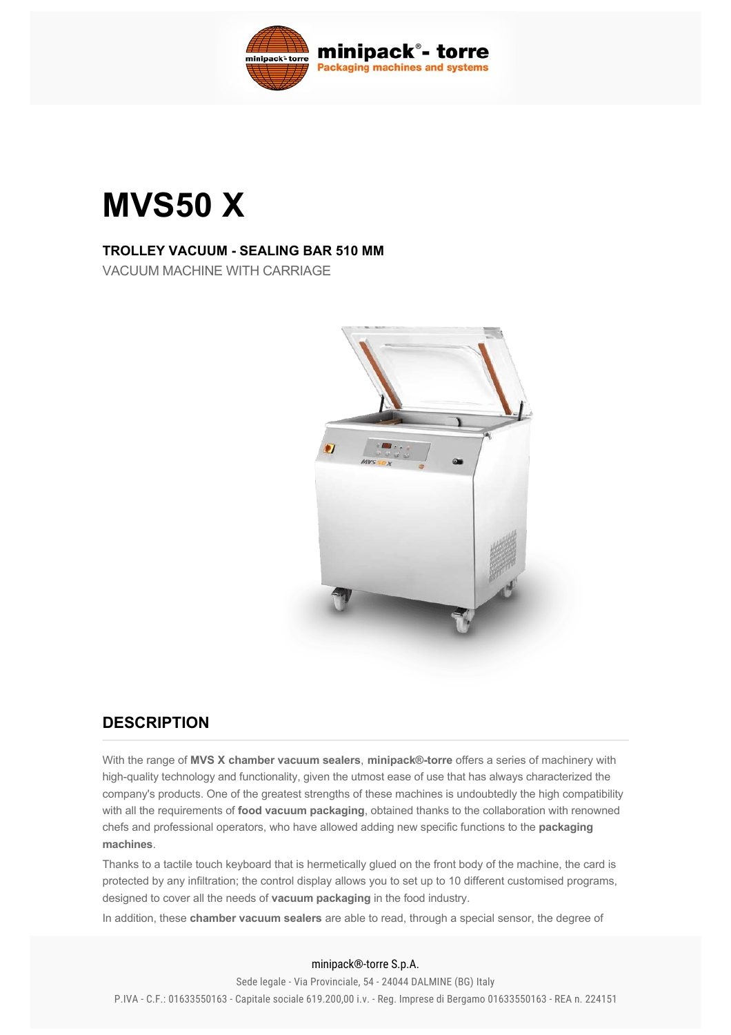

# **MVS50 X**

#### **TROLLEY VACUUM - SEALING BAR 510 MM**

VACUUM MACHINE WITH CARRIAGE



#### **DESCRIPTION**

With the range of **MVS X chamber vacuum sealers**, **minipack®torre** offers a series of machinery with high-quality technology and functionality, given the utmost ease of use that has always characterized the company's products. One of the greatest strengths of these machines is undoubtedly the high compatibility with all the requirements of **food vacuum packaging**, obtained thanks to the collaboration with renowned chefs and professional operators, who have allowed adding new specific functions to the **packaging machines**.

Thanks to a tactile touch keyboard that is hermetically glued on the front body of the machine, the card is protected by any infiltration; the control display allows you to set up to 10 different customised programs, designed to cover all the needs of **vacuum packaging** in the food industry.

In addition, these **chamber vacuum sealers** are able to read, through a special sensor, the degree of

#### minipack®-torre S.p.A.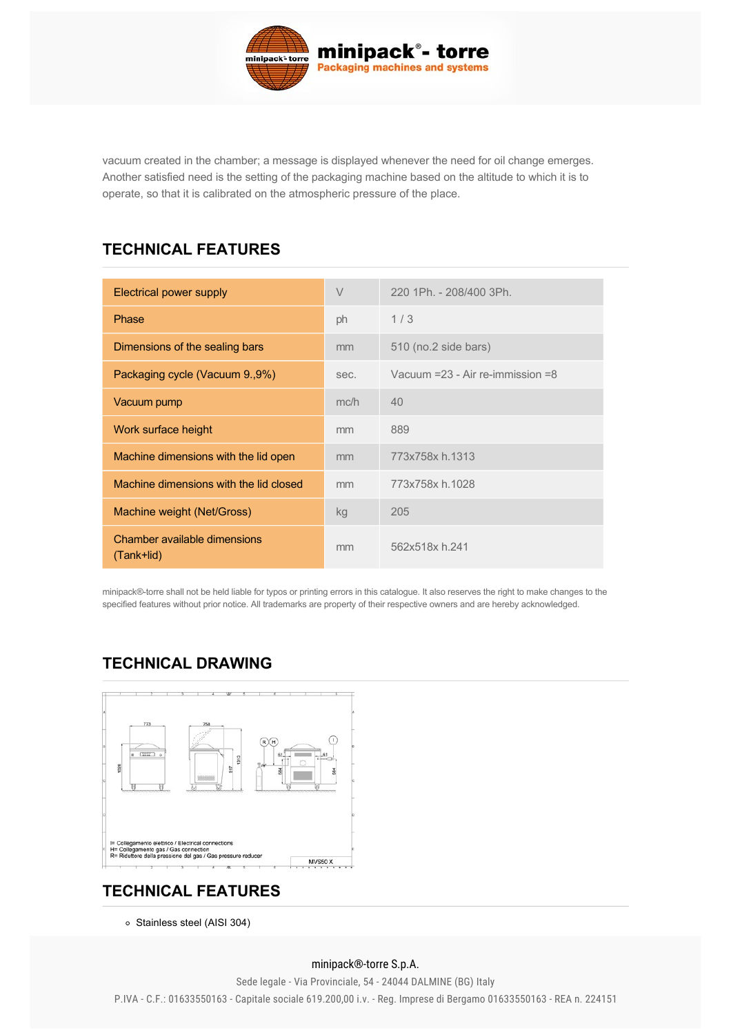

vacuum created in the chamber; a message is displayed whenever the need for oil change emerges. Another satisfied need is the setting of the packaging machine based on the altitude to which it is to operate, so that it is calibrated on the atmospheric pressure of the place.

## **TECHNICAL FEATURES**

| Electrical power supply                    | $\vee$ | 220 1Ph. - 208/400 3Ph.                |
|--------------------------------------------|--------|----------------------------------------|
| Phase                                      | ph     | 1/3                                    |
| Dimensions of the sealing bars             | mm     | 510 (no.2 side bars)                   |
| Packaging cycle (Vacuum 9.,9%)             | sec.   | Vacuum $=$ 23 - Air re-immission $=$ 8 |
| Vacuum pump                                | mc/h   | 40                                     |
| Work surface height                        | mm     | 889                                    |
| Machine dimensions with the lid open       | mm     | 773x758x h.1313                        |
| Machine dimensions with the lid closed     | mm     | 773x758x h.1028                        |
| Machine weight (Net/Gross)                 | kg     | 205                                    |
| Chamber available dimensions<br>(Tank+lid) | mm     | 562x518x h.241                         |

minipack®torre shall not be held liable for typos or printing errors in this catalogue. It also reserves the right to make changes to the specified features without prior notice. All trademarks are property of their respective owners and are hereby acknowledged.

# **TECHNICAL DRAWING**



## **[TECHNICAL FEATURES](#page-1-0)**

<span id="page-1-0"></span>o Stainless steel (AISI 304)